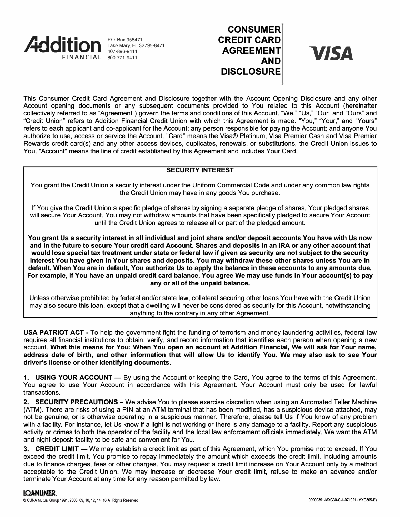

P.O. Box 958471 Lake Mary, FL 32795-8471 407-896-9411

# **CONSUMER CREDIT CARD AGREEMENT AND DISCLOSURE**

**VISA** 

This Consumer Credit Card Agreement and Disclosure together with the Account Opening Disclosure and any other Account opening documents or any subsequent documents provided to You related to this Account {hereinafter collectively referred to as "Agreement") govern the terms and conditions of this Account. "We," "Us," "Our" and "Ours" and "Credit Union" refers to Addition Financial Credit Union with which this Agreement is made. "You," "Your," and "Yours" refers to each applicant and co-applicant for the Account; any person responsible for paying the Account; and anyone You authorize to use, access or service the Account. "Card" means the Visa® Platinum, Visa Premier Cash and Visa Premier Rewards credit card(s) and any other access devices, duplicates, renewals, or substitutions, the Credit Union issues to You. "Account" means the line of credit established by this Agreement and includes Your Card.

## **SECURITY INTEREST**

You grant the Credit Union a security interest under the Uniform Commercial Code and under any common law rights the Credit Union may have in any goods You purchase.

If You give the Credit Union a specific pledge of shares by signing a separate pledge of shares, Your pledged shares will secure Your Account. You may not withdraw amounts that have been specifically pledged to secure Your Account until the Credit Union agrees to release all or part of the pledged amount.

**You grant Us a security interest in all individual and joint share and/or deposit accounts You have with Us now and in the future to secure Your credit card Account. Shares and deposits in an IRA or any other account that would lose special tax treatment under state or federal law if given as security are not subject to the security interest You have given in Your shares and deposits. You may withdraw these other shares unless You are in default. When You are in default, You authorize Us to apply the balance in these accounts to any amounts due. For example, if You have an unpaid credit card balance, You agree We may use funds in Your account(s) to pay any or all of the unpaid balance.** 

Unless otherwise prohibited by federal and/or state law, collateral securing other loans You have with the Credit Union may also secure this loan, except that a dwelling will never be considered as security for this Account, notwithstanding anything to the contrary in any other Agreement.

**USA PATRIOT ACT** - To help the government fight the funding of terrorism and money laundering activities, federal law requires all financial institutions to obtain, verify, and record information that identifies each person when opening a new account. **What this means for You: When You open an account at Addition Financial, We will ask for Your name, address date of birth, and other information that will allow Us to identify You. We may also ask to see Your driver's license or other identifying documents.** 

**1. USING YOUR ACCOUNT** — By using the Account or keeping the Card, You agree to the terms of this Agreement. You agree to use Your Account in accordance with this Agreement. Your Account must only be used for lawful transactions.

2. **SECURITY PRECAUTIONS** - We advise You to please exercise discretion when using an Automated Teller Machine (ATM). There are risks of using a PIN at an ATM terminal that has been modified, has a suspicious device attached, may not be genuine, or is otherwise operating in a suspicious manner. Therefore, please tell Us if You know of any problem with a facility. For instance, let Us know if a light is not working or there is any damage to a facility. Report any suspicious activity or crimes to both the operator of the facility and the local law enforcement officials immediately. We want the ATM and night deposit facility to be safe and convenient for You.

**3. CREDIT LIMIT** - We may establish a credit limit as part of this Agreement, which You promise not to exceed. If You exceed the credit limit, You promise to repay immediately the amount which exceeds the credit limit, including amounts due to finance charges, fees or other charges. You may request a credit limit increase on Your Account only by a method acceptable to the Credit Union. We may increase or decrease Your credit limit, refuse to make an advance and/or terminate Your Account at any time for any reason permitted by law.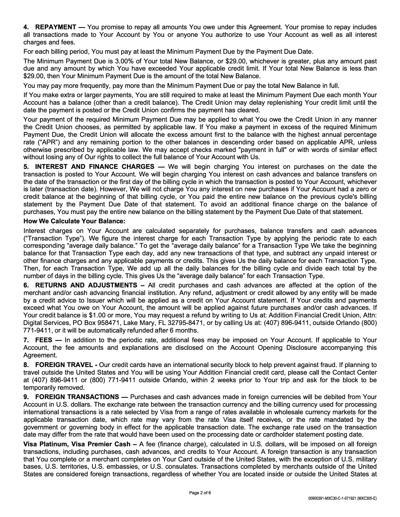**4. REPAYMENT** — You promise to repay all amounts You owe under this Agreement. Your promise to repay includes all transactions made to Your Account by You or anyone You authorize to use Your Account as well as all interest charges and fees.

For each billing period, You must pay at least the Minimum Payment Due by the Payment Due Date.

The Minimum Payment Due is 3.00% of Your total New Balance, or \$29.00, whichever is greater, plus any amount past due and any amount by which You have exceeded Your applicable credit limit. If Your total New Balance is less than \$29.00, then Your Minimum Payment Due is the amount of the total New Balance.

You may pay more frequently, pay more than the Minimum Payment Due or pay the total New Balance in full.

If You make extra or larger payments, You are still required to make at least the Minimum Payment Due each month Your Account has a balance (other than a credit balance). The Credit Union may delay replenishing Your credit limit until the date the payment is posted or the Credit Union confirms the payment has cleared.

Your payment of the required Minimum Payment Due may be applied to what You owe the Credit Union in any manner the Credit Union chooses, as permitted by applicable law. If You make a payment in excess of the required Minimum Payment Due, the Credit Union will allocate the excess amount first to the balance with the highest annual percentage rate ("APR") and any remaining portion to the other balances in descending order based on applicable APR, unless otherwise prescribed by applicable law. We may accept checks marked "payment in full" or with words of similar effect without losing any of Our rights to collect the full balance of Your Account with Us.

**5. INTEREST AND FINANCE CHARGES — We will begin charging You interest on purchases on the date the** transaction is posted to Your Account. We will begin charging You interest on cash advances and balance transfers on the date of the transaction or the first day of the billing cycle in which the transaction is posted to Your Account, whichever is later (transaction date). However, We will not charge You any interest on new purchases if Your Account had a zero or credit balance at the beginning of that billing cycle, or You paid the entire new balance on the previous cycle's billing statement by the Payment Due Date of that statement. To avoid an additional finance charge on the balance of purchases, You must pay the entire new balance on the billing statement by the Payment Due Date of that statement.

### **How We Calculate Your Balance:**

Interest charges on Your Account are calculated separately for purchases, balance transfers and cash advances ("Transaction Type"). We figure the interest charge for each Transaction Type by applying the periodic rate to each corresponding "average daily balance." To get the "average daily balance" for a Transaction Type We take the beginning balance for that Transaction Type each day, add any new transactions of that type, and subtract any unpaid interest or other finance charges and any applicable payments or credits. This gives Us the daily balance for each Transaction Type. Then, for each Transaction Type, We add up all the daily balances for the billing cycle and divide each total by the number of days in the billing cycle. This gives Us the "average daily balance" for each Transaction Type.

**6. RETURNS AND ADJUSTMENTS** - All credit purchases and cash advances are affected at the option of the merchant and/or cash advancing financial institution. Any refund, adjustment or credit allowed by any entity will be made by a credit advice to Issuer which will be applied as a credit on Your Account statement. If Your credits and payments exceed what You owe on Your Account, the amount will be applied against future purchases and/or cash advances. If Your credit balance is \$1.00 or more, You may request a refund by writing to Us at: Addition Financial Credit Union, Attn: Digital Services, PO Box 958471, Lake Mary, FL 32795-8471, or by calling Us at: (407) 896-9411, outside Orlando (800) 771-9411, or it will be automatically refunded after 6 months.

**7. FEES** — In addition to the periodic rate, additional fees may be imposed on Your Account. If applicable to Your Account, the fee amounts and explanations are disclosed on the Account Opening Disclosure accompanying this Agreement.

**8. FOREIGN TRAVEL** - Our credit cards have an international security block to help prevent against fraud. If planning to travel outside the United States and You will be using Your Addition Financial credit card, please call the Contact Center at (407) 896-9411 or (800) 771-9411 outside Orlando, within 2 weeks prior to Your trip and ask for the block to be temporarily removed.

**9. FOREIGN TRANSACTIONS — Purchases and cash advances made in foreign currencies will be debited from Your** Account in U.S. dollars. The exchange rate between the transaction currency and the billing currency used for processing international transactions is a rate selected by Visa from a range of rates available in wholesale currency markets for the applicable transaction date, which rate may vary from the rate Visa itself receives, or the rate mandated by the government or governing body in effect for the applicable transaction date. The exchange rate used on the transaction date may differ from the rate that would have been used on the processing date or cardholder statement posting date.

**Visa Platinum, Visa Premier Cash** - A fee (finance charge), calculated in U.S. dollars, will be imposed on all foreign transactions, including purchases, cash advances, and credits to Your Account. A foreign transaction is any transaction that You complete or a merchant completes on Your Card outside of the United States, with the exception of U.S. military bases, U.S. territories, U.S. embassies, or U.S. consulates. Transactions completed by merchants outside of the United States are considered foreign transactions, regardless of whether You are located inside or outside the United States at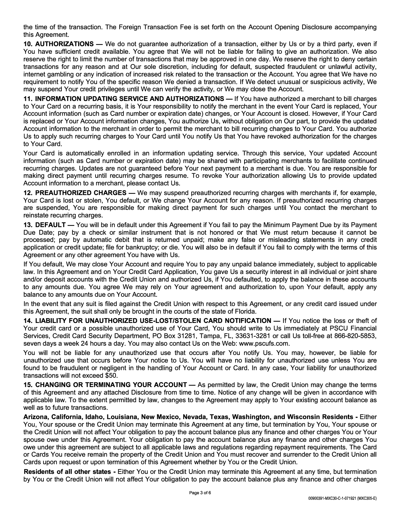the time of the transaction. The Foreign Transaction Fee is set forth on the Account Opening Disclosure accompanying this Agreement.

**10. AUTHORIZATIONS** — We do not guarantee authorization of a transaction, either by Us or by a third party, even if You have sufficient credit available. You agree that We will not be liable for failing to give an authorization. We also reserve the right to limit the number of transactions that may be approved in one day. We reserve the right to deny certain transactions for any reason and at Our sole discretion, including for default, suspected fraudulent or unlawful activity, internet gambling or any indication of increased risk related to the transaction or the Account. You agree that We have no requirement to notify You of the specific reason We denied a transaction. If We detect unusual or suspicious activity, We may suspend Your credit privileges until We can verify the activity, or We may close the Account.

**11. INFORMATION UPDATING SERVICE AND AUTHORIZATIONS** — If You have authorized a merchant to bill charges to Your Card on a recurring basis, it is Your responsibility to notify the merchant in the event Your Card is replaced, Your Account information (such as Card number or expiration date) changes, or Your Account is closed. However, if Your Card is replaced or Your Account information changes, You authorize Us, without obligation on Our part, to provide the updated Account information to the merchant in order to permit the merchant to bill recurring charges to Your Card. You authorize Us to apply such recurring charges to Your Card until You notify Us that You have revoked authorization for the charges to Your Card.

Your Card is automatically enrolled in an information updating service. Through this service, Your updated Account information (such as Card number or expiration date) may be shared with participating merchants to facilitate continued recurring charges. Updates are not guaranteed before Your next payment to a merchant is due. You are responsible for making direct payment until recurring charges resume. To revoke Your authorization allowing Us to provide updated Account information to a merchant, please contact Us.

**12. PREAUTHORIZED CHARGES —** We may suspend preauthorized recurring charges with merchants if, for example, Your Card is lost or stolen, You default, or We change Your Account for any reason. If preauthorized recurring charges are suspended, You are responsible for making direct payment for such charges until You contact the merchant to reinstate recurring charges.

**13. DEFAULT** — You will be in default under this Agreement if You fail to pay the Minimum Payment Due by its Payment Due Date; pay by a check or similar instrument that is not honored or that We must return because it cannot be processed; pay by automatic debit that is returned unpaid; make any false or misleading statements in any credit application or credit update; file for bankruptcy; or die. You will also be in default if You fail to comply with the terms of this Agreement or any other agreement You have with Us.

If You default, We may close Your Account and require You to pay any unpaid balance immediately, subject to applicable law. In this Agreement and on Your Credit Card Application, You gave Us a security interest in all individual or joint share and/or deposit accounts with the Credit Union and authorized Us, if You defaulted, to apply the balance in these accounts to any amounts due. You agree We may rely on Your agreement and authorization to, upon Your default, apply any balance to any amounts due on Your Account.

In the event that any suit is filed against the Credit Union with respect to this Agreement, or any credit card issued under this Agreement, the suit shall only be brought in the courts of the state of Florida.

14. LIABILITY FOR UNAUTHORIZED USE-LOST/STOLEN CARD NOTIFICATION - If You notice the loss or theft of Your credit card or a possible unauthorized use of Your Card, You should write to Us immediately at PSCU Financial Services, Credit Card Security Department, PO Box 31281, Tampa, FL, 33631-3281 or call Us toll-free at 866-820-5853, seven days a week 24 hours a day. You may also contact Us on the Web: www.pscufs.com.

You will not be liable for any unauthorized use that occurs after You notify Us. You may, however, be liable for unauthorized use that occurs before Your notice to Us. You will have no liability for unauthorized use unless You are found to be fraudulent or negligent in the handling of Your Account or Card. In any case, Your liability for unauthorized transactions will not exceed \$50.

**15. CHANGING OR TERMINATING YOUR ACCOUNT — As permitted by law, the Credit Union may change the terms** of this Agreement and any attached Disclosure from time to time. Notice of any change will be given in accordance with applicable law. To the extent permitted by law, changes to the Agreement may apply to Your existing account balance as well as to future transactions.

**Arizona, California, Idaho, Louisiana, New Mexico, Nevada, Texas, Washington, and Wisconsin Residents** - Either You, Your spouse or the Credit Union may terminate this Agreement at any time, but termination by You, Your spouse or the Credit Union will not affect Your obligation to pay the account balance plus any finance and other charges You or Your spouse owe under this Agreement. Your obligation to pay the account balance plus any finance and other charges You owe under this agreement are subject to all applicable laws and regulations regarding repayment requirements. The Card or Cards You receive remain the property of the Credit Union and You must recover and surrender to the Credit Union all Cards upon request or upon termination of this Agreement whether by You or the Credit Union.

**Residents of all other states** - Either You or the Credit Union may terminate this Agreement at any time, but termination by You or the Credit Union will not affect Your obligation to pay the account balance plus any finance and other charges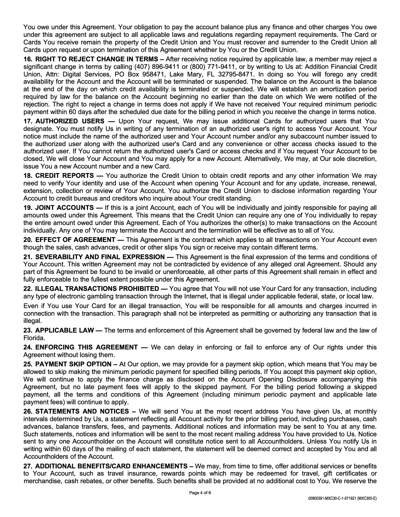You owe under this Agreement. Your obligation to pay the account balance plus any finance and other charges You owe under this agreement are subject to all applicable laws and regulations regarding repayment requirements. The Card or Cards You receive remain the property of the Credit Union and You must recover and surrender to the Credit Union all Cards upon request or upon termination of this Agreement whether by You or the Credit Union.

**16. RIGHT TO REJECT CHANGE IN TERMS** – After receiving notice required by applicable law, a member may reject a significant change in terms by calling (407) 896-9411 or (800) 771-9411, or by writing to Us at: Addition Financial Credit Union, Attn: Digital Services, PO Box 958471, Lake Mary, FL 32795-8471. In doing so You will forego any credit availability for the Account and the Account will be terminated or suspended. The balance on the Account is the balance at the end of the day on which credit availability is terminated or suspended. We will establish an amortization period required by law for the balance on the Account beginning no earlier than the date on which We were notified of the rejection. The right to reject a change in terms does not apply if We have not received Your required minimum periodic payment within 60 days after the scheduled due date for the billing period in which you receive the change in terms notice.

17. **AUTHORIZED USERS** - Upon Your request, We may issue additional Cards for authorized users that You designate. You must notify Us in writing of any termination of an authorized user's right to access Your Account. Your notice must include the name of the authorized user and Your Account number and/or any subaccount number issued to the authorized user along with the authorized user's Card and any convenience or other access checks issued to the authorized user. If You cannot return the authorized user's Card or access checks and if You request Your Account to be closed, We will close Your Account and You may apply for a new Account. Alternatively, We may, at Our sole discretion, issue You a new Account number and a new Card.

**18. CREDIT REPORTS** - You authorize the Credit Union to obtain credit reports and any other information We may need to verify Your identity and use of the Account when opening Your Account and for any update, increase, renewal, extension, collection or review of Your Account. You authorize the Credit Union to disclose information regarding Your Account to credit bureaus and creditors who inquire about Your credit standing.

**19. JOINT ACCOUNTS** — If this is a joint Account, each of You will be individually and jointly responsible for paying all amounts owed under this Agreement. This means that the Credit Union can require any one of You individually to repay the entire amount owed under this Agreement. Each of You authorizes the other(s) to make transactions on the Account individually. Any one of You may terminate the Account and the termination will be effective as to all of You.

20. **EFFECT OF AGREEMENT** — This Agreement is the contract which applies to all transactions on Your Account even though the sales, cash advances, credit or other slips You sign or receive may contain different terms.

**21. SEVERABILITY AND FINAL EXPRESSION — This Agreement is the final expression of the terms and conditions of** Your Account. This written Agreement may not be contradicted by evidence of any alleged oral Agreement. Should any part of this Agreement be found to be invalid or unenforceable, all other parts of this Agreement shall remain in effect and fully enforceable to the fullest extent possible under this Agreement.

**22. ILLEGAL TRANSACTIONS PROHIBITED** - You agree that You will not use Your Card for any transaction, including any type of electronic gambling transaction through the Internet, that is illegal under applicable federal, state, or local law.

Even if You use Your Card for an illegal transaction, You will be responsible for all amounts and charges incurred in connection with the transaction. This paragraph shall not be interpreted as permitting or authorizing any transaction that is illegal.

**23. APPLICABLE LAW —** The terms and enforcement of this Agreement shall be governed by federal law and the law of Florida.

24. **ENFORCING THIS AGREEMENT** - We can delay in enforcing or fail to enforce any of Our rights under this Agreement without losing them.

**25. PAYMENT SKIP OPTION** – At Our option, we may provide for a payment skip option, which means that You may be allowed to skip making the minimum periodic payment for specified billing periods. If You accept this payment skip option, We will continue to apply the finance charge as disclosed on the Account Opening Disclosure accompanying this Agreement, but no late payment fees will apply to the skipped payment. For the billing period following a skipped payment, all the terms and conditions of this Agreement (including minimum periodic payment and applicable late payment fees) will continue to apply.

**26. STATEMENTS AND NOTICES** – We will send You at the most recent address You have given Us, at monthly intervals determined by Us, a statement reflecting all Account activity for the prior billing period, including purchases, cash advances, balance transfers, fees, and payments. Additional notices and information may be sent to You at any time. Such statements, notices and information will be sent to the most recent mailing address You have provided to Us. Notice sent to any one Accountholder on the Account will constitute notice sent to all Accountholders. Unless You notify Us in writing within 60 days of the mailing of each statement, the statement will be deemed correct and accepted by You and all Accountholders of the Account.

27. ADDITIONAL BENEFITS/CARD ENHANCEMENTS - We may, from time to time, offer additional services or benefits to Your Account, such as travel insurance, rewards points which may be redeemed for travel, gift certificates or merchandise, cash rebates, or other benefits. Such benefits shall be provided at no additional cost to You. We reserve the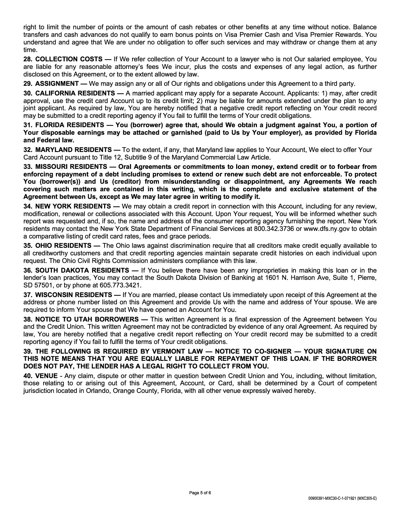right to limit the number of points or the amount of cash rebates or other benefits at any time without notice. Balance transfers and cash advances do not qualify to earn bonus points on Visa Premier Cash and Visa Premier Rewards. You understand and agree that We are under no obligation to offer such services and may withdraw or change them at any time.

**28. COLLECTION COSTS** — If We refer collection of Your Account to a lawyer who is not Our salaried employee, You are liable for any reasonable attorney's fees We incur, plus the costs and expenses of any legal action, as further disclosed on this Agreement, or to the extent allowed by law.

**29. ASSIGNMENT** — We may assign any or all of Our rights and obligations under this Agreement to a third party.

**30. CALIFORNIA RESIDENTS** — A married applicant may apply for a separate Account. Applicants: 1) may, after credit approval, use the credit card Account up to its credit limit; 2) may be liable for amounts extended under the plan to any joint applicant. As required by law, You are hereby notified that a negative credit report reflecting on Your credit record may be submitted to a credit reporting agency if You fail to fulfill the terms of Your credit obligations.

31. FLORIDA RESIDENTS - You (borrower) agree that, should We obtain a judgment against You, a portion of **Your disposable earnings may be attached or garnished (paid to Us by Your employer), as provided by Florida and Federal law.**

**32. MARYLAND RESIDENTS** — To the extent, if any, that Maryland law applies to Your Account, We elect to offer Your Card Account pursuant to Title 12, Subtitle 9 of the Maryland Commercial Law Article.

**33. MISSOURI RESIDENTS** - **Oral Agreements or commitments to loan money, extend credit or to forbear from enforcing repayment of a debt including promises to extend or renew such debt are not enforceable. To protect You (borrower(s}} and Us (creditor) from misunderstanding or disappointment, any Agreements We reach covering such matters are contained in this writing, which is the complete and exclusive statement of the Agreement between Us, except as We may later agree** in **writing to modify it.**

**34. NEW YORK RESIDENTS** — We may obtain a credit report in connection with this Account, including for any review, modification, renewal or collections associated with this Account. Upon Your request, You will be informed whether such report was requested and, if so, the name and address of the consumer reporting agency furnishing the report. New York residents may contact the New York State Department of Financial Services at 800.342.3736 or www.dfs.ny.gov to obtain a comparative listing of credit card rates, fees and grace periods.

**35. OHIO RESIDENTS** — The Ohio laws against discrimination require that all creditors make credit equally available to all creditworthy customers and that credit reporting agencies maintain separate credit histories on each individual upon request. The Ohio Civil Rights Commission administers compliance with this law.

**36. SOUTH DAKOTA RESIDENTS** — If You believe there have been any improprieties in making this loan or in the lender's loan practices, You may contact the South Dakota Division of Banking at 1601 N. Harrison Ave, Suite 1, Pierre, SD 57501, or by phone at 605.773.3421.

**37. WISCONSIN RESIDENTS** — If You are married, please contact Us immediately upon receipt of this Agreement at the address or phone number listed on this Agreement and provide Us with the name and address of Your spouse. We are required to inform Your spouse that We have opened an Account for You.

**38. NOTICE TO UTAH BORROWERS** - This written Agreement is a final expression of the Agreement between You and the Credit Union. This written Agreement may not be contradicted by evidence of any oral Agreement. As required by law, You are hereby notified that a negative credit report reflecting on Your credit record may be submitted to a credit reporting agency if You fail to fulfill the terms of Your credit obligations.

## **39. THE FOLLOWING IS REQUIRED BY VERMONT LAW — NOTICE TO CO-SIGNER — YOUR SIGNATURE ON THIS NOTE MEANS THAT YOU ARE EQUALLY LIABLE FOR REPAYMENT OF THIS LOAN. IF THE BORROWER DOES NOT PAY, THE LENDER HAS A LEGAL RIGHT TO COLLECT FROM YOU.**

**40. VENUE** - Any claim, dispute or other matter in question between Credit Union and You, including, without limitation, those relating to or arising out of this Agreement, Account, or Card, shall be determined by a Court of competent jurisdiction located in Orlando, Orange County, Florida, with all other venue expressly waived hereby.